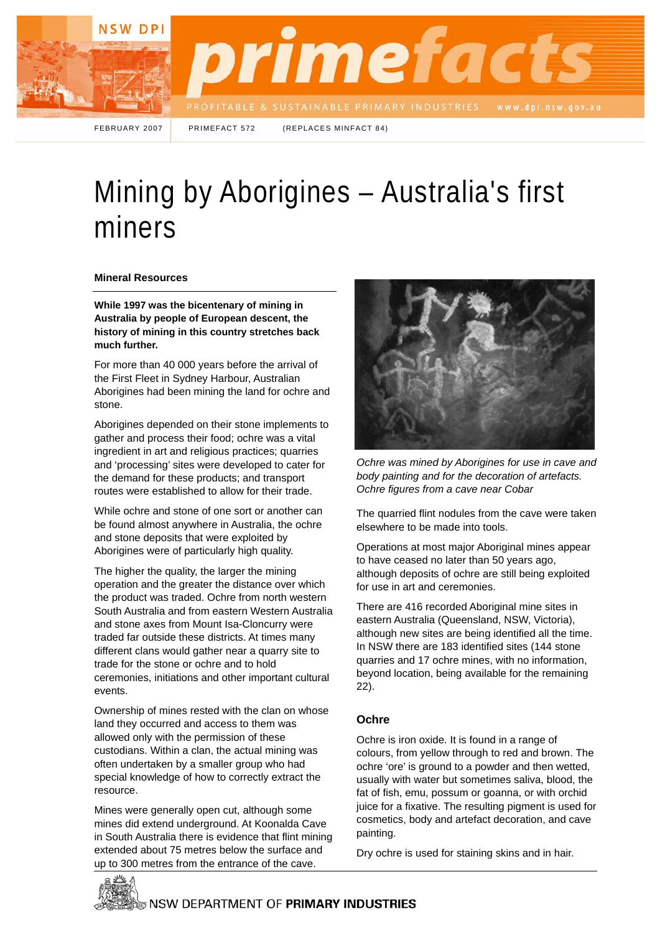

FEBRUARY 2007 PRIMEFACT 572 (REPLACES MINFACT 84)

# Mining by Aborigines – Australia's first miners

### **Mineral Resources**

**While 1997 was the bicentenary of mining in Australia by people of European descent, the history of mining in this country stretches back much further.** 

For more than 40 000 years before the arrival of the First Fleet in Sydney Harbour, Australian Aborigines had been mining the land for ochre and stone.

Aborigines depended on their stone implements to gather and process their food; ochre was a vital ingredient in art and religious practices; quarries and 'processing' sites were developed to cater for the demand for these products; and transport routes were established to allow for their trade.

While ochre and stone of one sort or another can be found almost anywhere in Australia, the ochre and stone deposits that were exploited by Aborigines were of particularly high quality.

The higher the quality, the larger the mining operation and the greater the distance over which the product was traded. Ochre from north western South Australia and from eastern Western Australia and stone axes from Mount Isa-Cloncurry were traded far outside these districts. At times many different clans would gather near a quarry site to trade for the stone or ochre and to hold ceremonies, initiations and other important cultural events.

Ownership of mines rested with the clan on whose land they occurred and access to them was allowed only with the permission of these custodians. Within a clan, the actual mining was often undertaken by a smaller group who had special knowledge of how to correctly extract the resource.

Mines were generally open cut, although some mines did extend underground. At Koonalda Cave in South Australia there is evidence that flint mining extended about 75 metres below the surface and up to 300 metres from the entrance of the cave.



*Ochre was mined by Aborigines for use in cave and body painting and for the decoration of artefacts. Ochre figures from a cave near Cobar* 

The quarried flint nodules from the cave were taken elsewhere to be made into tools.

Operations at most major Aboriginal mines appear to have ceased no later than 50 years ago, although deposits of ochre are still being exploited for use in art and ceremonies.

There are 416 recorded Aboriginal mine sites in eastern Australia (Queensland, NSW, Victoria), although new sites are being identified all the time. In NSW there are 183 identified sites (144 stone quarries and 17 ochre mines, with no information, beyond location, being available for the remaining 22).

## **Ochre**

Ochre is iron oxide. It is found in a range of colours, from yellow through to red and brown. The ochre 'ore' is ground to a powder and then wetted, usually with water but sometimes saliva, blood, the fat of fish, emu, possum or goanna, or with orchid juice for a fixative. The resulting pigment is used for cosmetics, body and artefact decoration, and cave painting.

Dry ochre is used for staining skins and in hair.

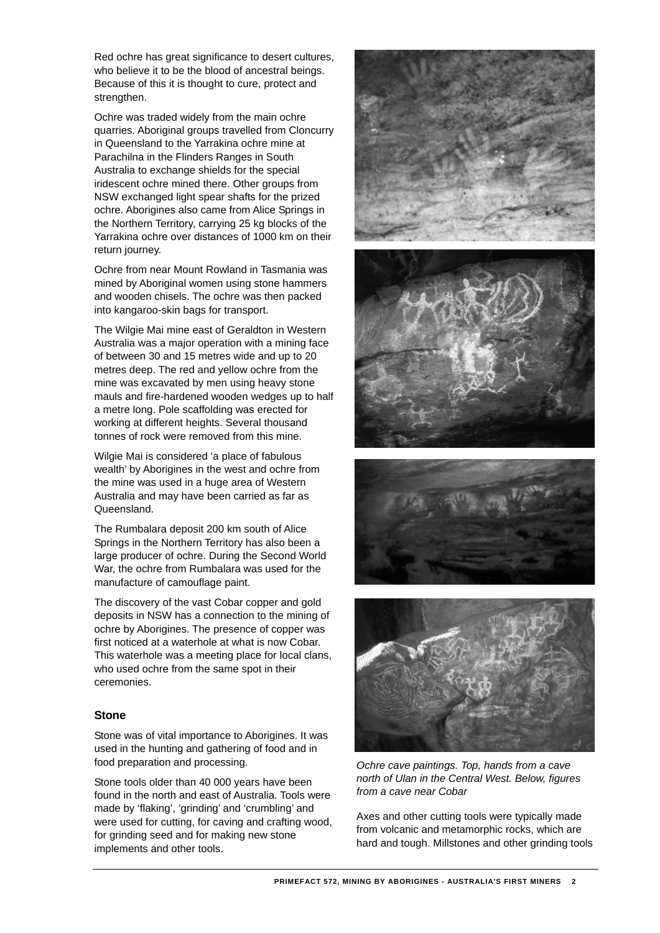Red ochre has great significance to desert cultures, who believe it to be the blood of ancestral beings. Because of this it is thought to cure, protect and strengthen.

Ochre was traded widely from the main ochre quarries. Aboriginal groups travelled from Cloncurry in Queensland to the Yarrakina ochre mine at Parachilna in the Flinders Ranges in South Australia to exchange shields for the special iridescent ochre mined there. Other groups from NSW exchanged light spear shafts for the prized ochre. Aborigines also came from Alice Springs in the Northern Territory, carrying 25 kg blocks of the Yarrakina ochre over distances of 1000 km on their return journey.

Ochre from near Mount Rowland in Tasmania was mined by Aboriginal women using stone hammers and wooden chisels. The ochre was then packed into kangaroo-skin bags for transport.

The Wilgie Mai mine east of Geraldton in Western Australia was a major operation with a mining face of between 30 and 15 metres wide and up to 20 metres deep. The red and yellow ochre from the mine was excavated by men using heavy stone mauls and fire-hardened wooden wedges up to half a metre long. Pole scaffolding was erected for working at different heights. Several thousand tonnes of rock were removed from this mine.

Wilgie Mai is considered 'a place of fabulous wealth' by Aborigines in the west and ochre from the mine was used in a huge area of Western Australia and may have been carried as far as Queensland.

The Rumbalara deposit 200 km south of Alice Springs in the Northern Territory has also been a large producer of ochre. During the Second World War, the ochre from Rumbalara was used for the manufacture of camouflage paint.

The discovery of the vast Cobar copper and gold deposits in NSW has a connection to the mining of ochre by Aborigines. The presence of copper was first noticed at a waterhole at what is now Cobar. This waterhole was a meeting place for local clans, who used ochre from the same spot in their ceremonies.

### **Stone**

Stone was of vital importance to Aborigines. It was used in the hunting and gathering of food and in food preparation and processing.

Stone tools older than 40 000 years have been found in the north and east of Australia. Tools were made by 'flaking', 'grinding' and 'crumbling' and were used for cutting, for caving and crafting wood, for grinding seed and for making new stone implements and other tools.









*Ochre cave paintings. Top, hands from a cave north of Ulan in the Central West. Below, figures from a cave near Cobar* 

Axes and other cutting tools were typically made from volcanic and metamorphic rocks, which are hard and tough. Millstones and other grinding tools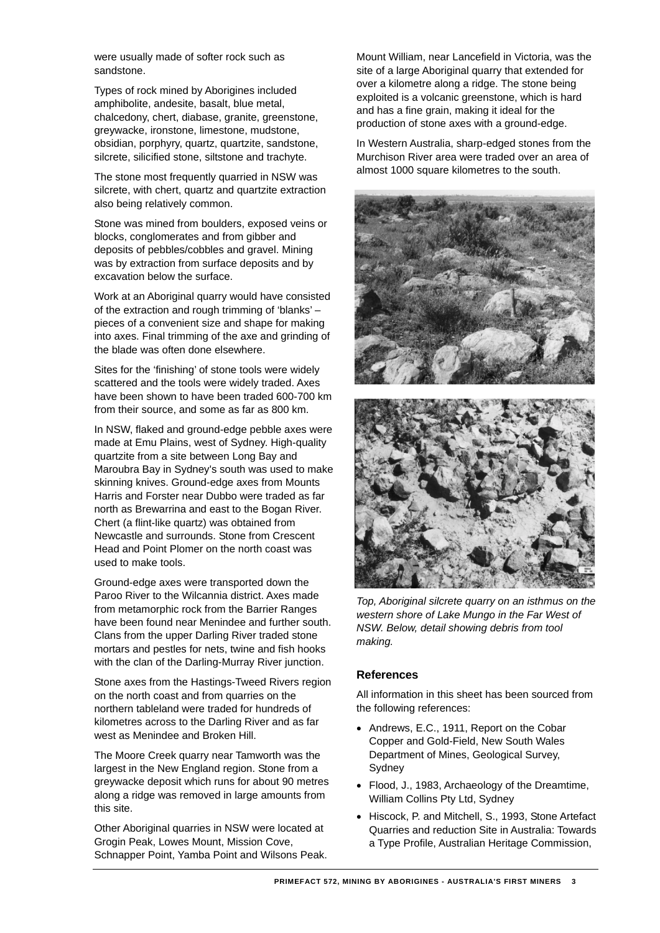were usually made of softer rock such as sandstone.

Types of rock mined by Aborigines included amphibolite, andesite, basalt, blue metal, chalcedony, chert, diabase, granite, greenstone, greywacke, ironstone, limestone, mudstone, obsidian, porphyry, quartz, quartzite, sandstone, silcrete, silicified stone, siltstone and trachyte.

The stone most frequently quarried in NSW was silcrete, with chert, quartz and quartzite extraction also being relatively common.

Stone was mined from boulders, exposed veins or blocks, conglomerates and from gibber and deposits of pebbles/cobbles and gravel. Mining was by extraction from surface deposits and by excavation below the surface.

Work at an Aboriginal quarry would have consisted of the extraction and rough trimming of 'blanks' – pieces of a convenient size and shape for making into axes. Final trimming of the axe and grinding of the blade was often done elsewhere.

Sites for the 'finishing' of stone tools were widely scattered and the tools were widely traded. Axes have been shown to have been traded 600-700 km from their source, and some as far as 800 km.

In NSW, flaked and ground-edge pebble axes were made at Emu Plains, west of Sydney. High-quality quartzite from a site between Long Bay and Maroubra Bay in Sydney's south was used to make skinning knives. Ground-edge axes from Mounts Harris and Forster near Dubbo were traded as far north as Brewarrina and east to the Bogan River. Chert (a flint-like quartz) was obtained from Newcastle and surrounds. Stone from Crescent Head and Point Plomer on the north coast was used to make tools.

Ground-edge axes were transported down the Paroo River to the Wilcannia district. Axes made from metamorphic rock from the Barrier Ranges have been found near Menindee and further south. Clans from the upper Darling River traded stone mortars and pestles for nets, twine and fish hooks with the clan of the Darling-Murray River junction.

Stone axes from the Hastings-Tweed Rivers region on the north coast and from quarries on the northern tableland were traded for hundreds of kilometres across to the Darling River and as far west as Menindee and Broken Hill.

The Moore Creek quarry near Tamworth was the largest in the New England region. Stone from a greywacke deposit which runs for about 90 metres along a ridge was removed in large amounts from this site.

Other Aboriginal quarries in NSW were located at Grogin Peak, Lowes Mount, Mission Cove, Schnapper Point, Yamba Point and Wilsons Peak. Mount William, near Lancefield in Victoria, was the site of a large Aboriginal quarry that extended for over a kilometre along a ridge. The stone being exploited is a volcanic greenstone, which is hard and has a fine grain, making it ideal for the production of stone axes with a ground-edge.

In Western Australia, sharp-edged stones from the Murchison River area were traded over an area of almost 1000 square kilometres to the south.





*Top, Aboriginal silcrete quarry on an isthmus on the western shore of Lake Mungo in the Far West of NSW. Below, detail showing debris from tool making.* 

## **References**

All information in this sheet has been sourced from the following references:

- Andrews, E.C., 1911, Report on the Cobar Copper and Gold-Field, New South Wales Department of Mines, Geological Survey, Sydney
- Flood, J., 1983, Archaeology of the Dreamtime, William Collins Pty Ltd, Sydney
- Hiscock, P. and Mitchell, S., 1993, Stone Artefact Quarries and reduction Site in Australia: Towards a Type Profile, Australian Heritage Commission,